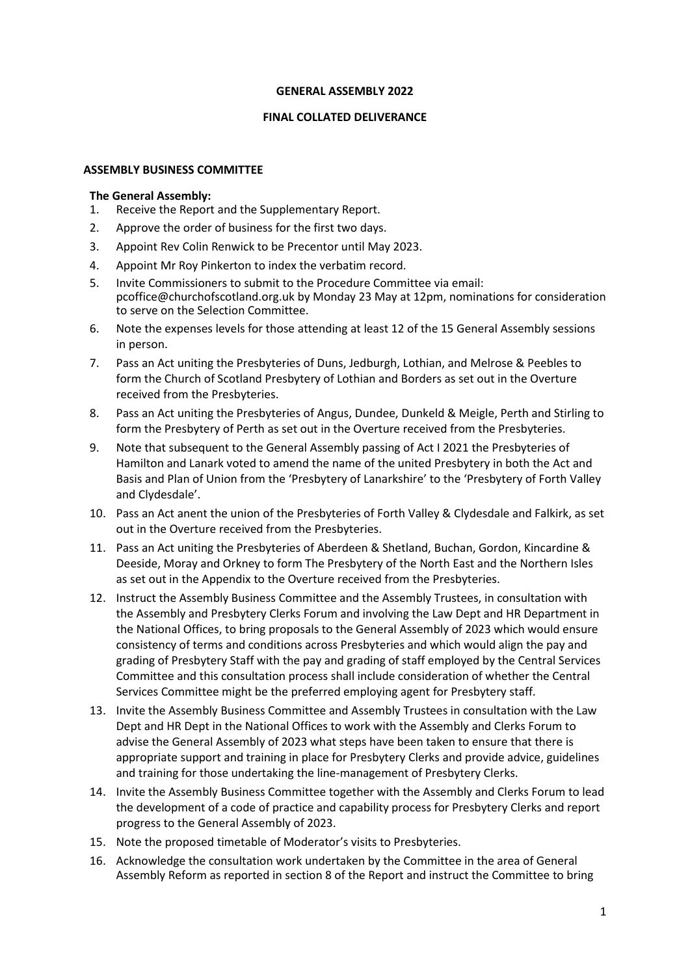#### **GENERAL ASSEMBLY 2022**

#### **FINAL COLLATED DELIVERANCE**

#### **ASSEMBLY BUSINESS COMMITTEE**

- 1. Receive the Report and the Supplementary Report.
- 2. Approve the order of business for the first two days.
- 3. Appoint Rev Colin Renwick to be Precentor until May 2023.
- 4. Appoint Mr Roy Pinkerton to index the verbatim record.
- 5. Invite Commissioners to submit to the Procedure Committee via email: [pcoffice@churchofscotland.org.uk](mailto:pcoffice@churchofscotland.org.uk) by Monday 23 May at 12pm, nominations for consideration to serve on the Selection Committee.
- 6. Note the expenses levels for those attending at least 12 of the 15 General Assembly sessions in person.
- 7. Pass an Act uniting the Presbyteries of Duns, Jedburgh, Lothian, and Melrose & Peebles to form the Church of Scotland Presbytery of Lothian and Borders as set out in the Overture received from the Presbyteries.
- 8. Pass an Act uniting the Presbyteries of Angus, Dundee, Dunkeld & Meigle, Perth and Stirling to form the Presbytery of Perth as set out in the Overture received from the Presbyteries.
- 9. Note that subsequent to the General Assembly passing of Act I 2021 the Presbyteries of Hamilton and Lanark voted to amend the name of the united Presbytery in both the Act and Basis and Plan of Union from the 'Presbytery of Lanarkshire' to the 'Presbytery of Forth Valley and Clydesdale'.
- 10. Pass an Act anent the union of the Presbyteries of Forth Valley & Clydesdale and Falkirk, as set out in the Overture received from the Presbyteries.
- 11. Pass an Act uniting the Presbyteries of Aberdeen & Shetland, Buchan, Gordon, Kincardine & Deeside, Moray and Orkney to form The Presbytery of the North East and the Northern Isles as set out in the Appendix to the Overture received from the Presbyteries.
- 12. Instruct the Assembly Business Committee and the Assembly Trustees, in consultation with the Assembly and Presbytery Clerks Forum and involving the Law Dept and HR Department in the National Offices, to bring proposals to the General Assembly of 2023 which would ensure consistency of terms and conditions across Presbyteries and which would align the pay and grading of Presbytery Staff with the pay and grading of staff employed by the Central Services Committee and this consultation process shall include consideration of whether the Central Services Committee might be the preferred employing agent for Presbytery staff.
- 13. Invite the Assembly Business Committee and Assembly Trustees in consultation with the Law Dept and HR Dept in the National Offices to work with the Assembly and Clerks Forum to advise the General Assembly of 2023 what steps have been taken to ensure that there is appropriate support and training in place for Presbytery Clerks and provide advice, guidelines and training for those undertaking the line-management of Presbytery Clerks.
- 14. Invite the Assembly Business Committee together with the Assembly and Clerks Forum to lead the development of a code of practice and capability process for Presbytery Clerks and report progress to the General Assembly of 2023.
- 15. Note the proposed timetable of Moderator's visits to Presbyteries.
- 16. Acknowledge the consultation work undertaken by the Committee in the area of General Assembly Reform as reported in section 8 of the Report and instruct the Committee to bring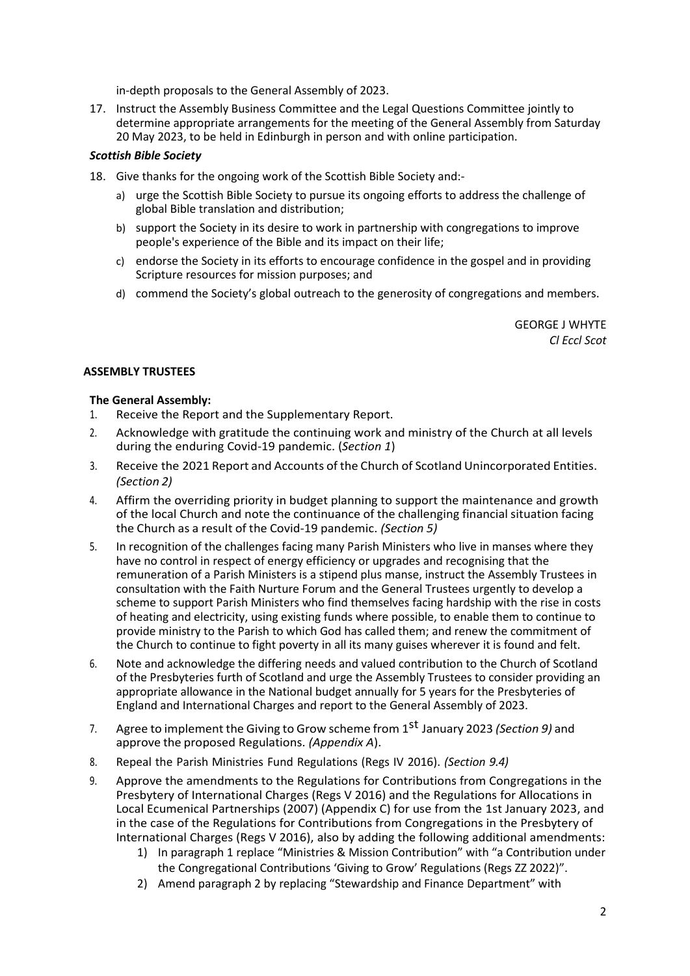in-depth proposals to the General Assembly of 2023.

17. Instruct the Assembly Business Committee and the Legal Questions Committee jointly to determine appropriate arrangements for the meeting of the General Assembly from Saturday 20 May 2023, to be held in Edinburgh in person and with online participation.

# *Scottish Bible Society*

- 18. Give thanks for the ongoing work of the Scottish Bible Society and:
	- a) urge the Scottish Bible Society to pursue its ongoing efforts to address the challenge of global Bible translation and distribution;
	- b) support the Society in its desire to work in partnership with congregations to improve people's experience of the Bible and its impact on their life;
	- c) endorse the Society in its efforts to encourage confidence in the gospel and in providing Scripture resources for mission purposes; and
	- d) commend the Society's global outreach to the generosity of congregations and members.

GEORGE J WHYTE *Cl Eccl Scot*

# **ASSEMBLY TRUSTEES**

- 1. Receive the Report and the Supplementary Report.
- 2. Acknowledge with gratitude the continuing work and ministry of the Church at all levels during the enduring Covid-19 pandemic. (*Section 1*)
- 3. Receive the 2021 Report and Accounts of the Church of Scotland Unincorporated Entities. *(Section 2)*
- 4. Affirm the overriding priority in budget planning to support the maintenance and growth of the local Church and note the continuance of the challenging financial situation facing the Church as a result of the Covid-19 pandemic. *(Section 5)*
- 5. In recognition of the challenges facing many Parish Ministers who live in manses where they have no control in respect of energy efficiency or upgrades and recognising that the remuneration of a Parish Ministers is a stipend plus manse, instruct the Assembly Trustees in consultation with the Faith Nurture Forum and the General Trustees urgently to develop a scheme to support Parish Ministers who find themselves facing hardship with the rise in costs of heating and electricity, using existing funds where possible, to enable them to continue to provide ministry to the Parish to which God has called them; and renew the commitment of the Church to continue to fight poverty in all its many guises wherever it is found and felt.
- 6. Note and acknowledge the differing needs and valued contribution to the Church of Scotland of the Presbyteries furth of Scotland and urge the Assembly Trustees to consider providing an appropriate allowance in the National budget annually for 5 years for the Presbyteries of England and International Charges and report to the General Assembly of 2023.
- 7. Agree to implement the Giving to Grow scheme from 1 st January 2023 *(Section 9)* and approve the proposed Regulations. *(Appendix A*).
- 8. Repeal the Parish Ministries Fund Regulations (Regs IV 2016). *(Section 9.4)*
- 9. Approve the amendments to the Regulations for Contributions from Congregations in the Presbytery of International Charges (Regs V 2016) and the Regulations for Allocations in Local Ecumenical Partnerships (2007) (Appendix C) for use from the 1st January 2023, and in the case of the Regulations for Contributions from Congregations in the Presbytery of International Charges (Regs V 2016), also by adding the following additional amendments:
	- 1) In paragraph 1 replace "Ministries & Mission Contribution" with "a Contribution under the Congregational Contributions 'Giving to Grow' Regulations (Regs ZZ 2022)".
	- 2) Amend paragraph 2 by replacing "Stewardship and Finance Department" with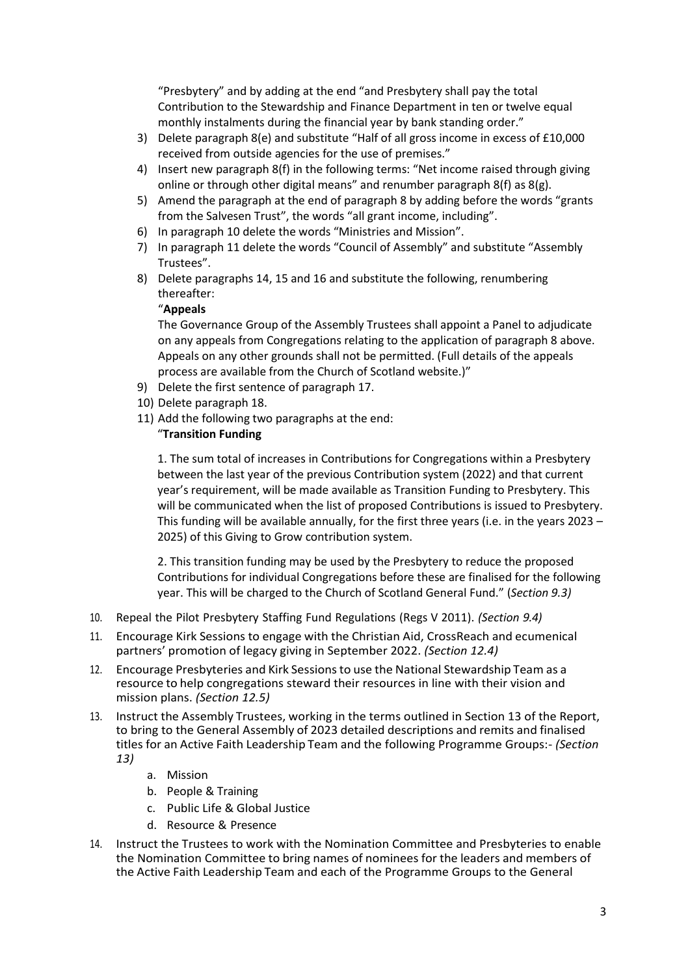"Presbytery" and by adding at the end "and Presbytery shall pay the total Contribution to the Stewardship and Finance Department in ten or twelve equal monthly instalments during the financial year by bank standing order."

- 3) Delete paragraph 8(e) and substitute "Half of all gross income in excess of £10,000 received from outside agencies for the use of premises."
- 4) Insert new paragraph 8(f) in the following terms: "Net income raised through giving online or through other digital means" and renumber paragraph 8(f) as 8(g).
- 5) Amend the paragraph at the end of paragraph 8 by adding before the words "grants from the Salvesen Trust", the words "all grant income, including".
- 6) In paragraph 10 delete the words "Ministries and Mission".
- 7) In paragraph 11 delete the words "Council of Assembly" and substitute "Assembly Trustees".
- 8) Delete paragraphs 14, 15 and 16 and substitute the following, renumbering thereafter:

## "**Appeals**

The Governance Group of the Assembly Trustees shall appoint a Panel to adjudicate on any appeals from Congregations relating to the application of paragraph 8 above. Appeals on any other grounds shall not be permitted. (Full details of the appeals process are available from the Church of Scotland website.)"

- 9) Delete the first sentence of paragraph 17.
- 10) Delete paragraph 18.
- 11) Add the following two paragraphs at the end:

# "**Transition Funding**

1. The sum total of increases in Contributions for Congregations within a Presbytery between the last year of the previous Contribution system (2022) and that current year's requirement, will be made available as Transition Funding to Presbytery. This will be communicated when the list of proposed Contributions is issued to Presbytery. This funding will be available annually, for the first three years (i.e. in the years 2023 – 2025) of this Giving to Grow contribution system.

2. This transition funding may be used by the Presbytery to reduce the proposed Contributions for individual Congregations before these are finalised for the following year. This will be charged to the Church of Scotland General Fund." (*Section 9.3)*

- 10. Repeal the Pilot Presbytery Staffing Fund Regulations (Regs V 2011). *(Section 9.4)*
- 11. Encourage Kirk Sessions to engage with the Christian Aid, CrossReach and ecumenical partners' promotion of legacy giving in September 2022. *(Section 12.4)*
- 12. Encourage Presbyteries and Kirk Sessionsto use the National Stewardship Team as a resource to help congregations steward their resources in line with their vision and mission plans. *(Section 12.5)*
- 13. Instruct the Assembly Trustees, working in the terms outlined in Section 13 of the Report, to bring to the General Assembly of 2023 detailed descriptions and remits and finalised titles for an Active Faith Leadership Team and the following Programme Groups:- *(Section 13)*
	- a. Mission
	- b. People & Training
	- c. Public Life & Global Justice
	- d. Resource & Presence
- 14. Instruct the Trustees to work with the Nomination Committee and Presbyteries to enable the Nomination Committee to bring names of nominees for the leaders and members of the Active Faith Leadership Team and each of the Programme Groups to the General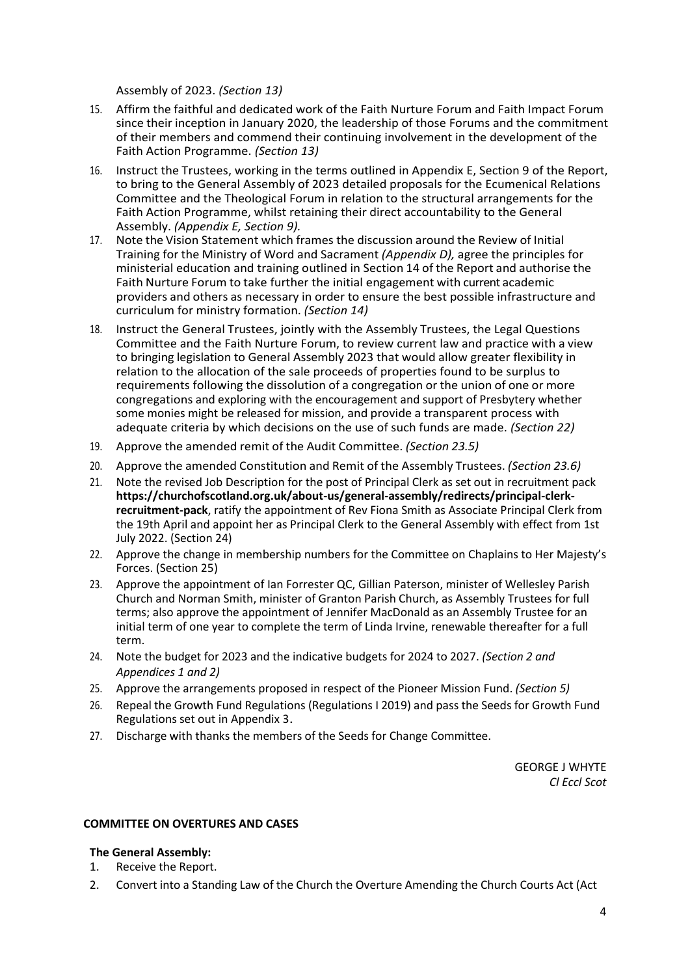Assembly of 2023. *(Section 13)*

- 15. Affirm the faithful and dedicated work of the Faith Nurture Forum and Faith Impact Forum since their inception in January 2020, the leadership of those Forums and the commitment of their members and commend their continuing involvement in the development of the Faith Action Programme. *(Section 13)*
- 16. Instruct the Trustees, working in the terms outlined in Appendix E, Section 9 of the Report, to bring to the General Assembly of 2023 detailed proposals for the Ecumenical Relations Committee and the Theological Forum in relation to the structural arrangements for the Faith Action Programme, whilst retaining their direct accountability to the General Assembly. *(Appendix E, Section 9).*
- 17. Note the Vision Statement which frames the discussion around the Review of Initial Training for the Ministry of Word and Sacrament *(Appendix D),* agree the principles for ministerial education and training outlined in Section 14 of the Report and authorise the Faith Nurture Forum to take further the initial engagement with current academic providers and others as necessary in order to ensure the best possible infrastructure and curriculum for ministry formation. *(Section 14)*
- 18. Instruct the General Trustees, jointly with the Assembly Trustees, the Legal Questions Committee and the Faith Nurture Forum, to review current law and practice with a view to bringing legislation to General Assembly 2023 that would allow greater flexibility in relation to the allocation of the sale proceeds of properties found to be surplus to requirements following the dissolution of a congregation or the union of one or more congregations and exploring with the encouragement and support of Presbytery whether some monies might be released for mission, and provide a transparent process with adequate criteria by which decisions on the use of such funds are made. *(Section 22)*
- 19. Approve the amended remit of the Audit Committee. *(Section 23.5)*
- 20. Approve the amended Constitution and Remit of the Assembly Trustees. *(Section 23.6)*
- 21. Note the revised Job Description for the post of Principal Clerk as set out in recruitment pack **[https://churchofscotland.org.uk/about-us/general-assembly/redirects/principal-clerk](https://churchofscotland.org.uk/about-us/general-assembly/redirects/principal-clerk-recruitment-pack)[recruitment-pack](https://churchofscotland.org.uk/about-us/general-assembly/redirects/principal-clerk-recruitment-pack)**, ratify the appointment of Rev Fiona Smith as Associate Principal Clerk from the 19th April and appoint her as Principal Clerk to the General Assembly with effect from 1st July 2022. (Section 24)
- 22. Approve the change in membership numbers for the Committee on Chaplains to Her Majesty's Forces. (Section 25)
- 23. Approve the appointment of Ian Forrester QC, Gillian Paterson, minister of Wellesley Parish Church and Norman Smith, minister of Granton Parish Church, as Assembly Trustees for full terms; also approve the appointment of Jennifer MacDonald as an Assembly Trustee for an initial term of one year to complete the term of Linda Irvine, renewable thereafter for a full term.
- 24. Note the budget for 2023 and the indicative budgets for 2024 to 2027. *(Section 2 and Appendices 1 and 2)*
- 25. Approve the arrangements proposed in respect of the Pioneer Mission Fund. *(Section 5)*
- 26. Repeal the Growth Fund Regulations (Regulations I 2019) and pass the Seeds for Growth Fund Regulations set out in Appendix 3.
- 27. Discharge with thanks the members of the Seeds for Change Committee.

GEORGE J WHYTE *Cl Eccl Scot*

## **COMMITTEE ON OVERTURES AND CASES**

- 1. Receive the Report.
- 2. Convert into a Standing Law of the Church the Overture Amending the Church Courts Act (Act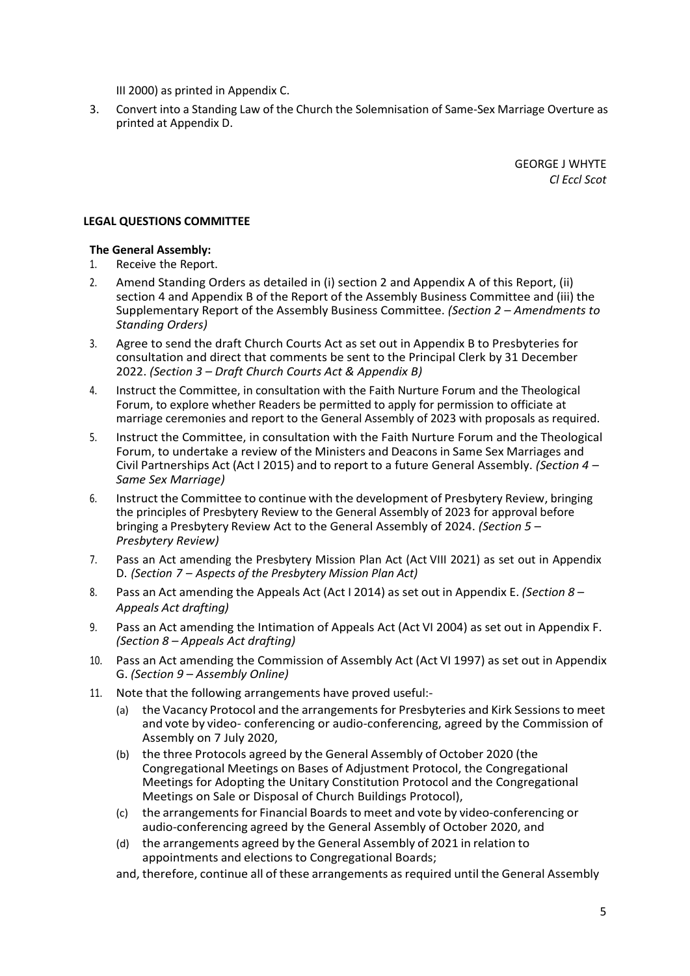III 2000) as printed in Appendix C.

3. Convert into a Standing Law of the Church the Solemnisation of Same-Sex Marriage Overture as printed at Appendix D.

> GEORGE J WHYTE *Cl Eccl Scot*

## **LEGAL QUESTIONS COMMITTEE**

- 1. Receive the Report.
- 2. Amend Standing Orders as detailed in (i) section 2 and Appendix A of this Report, (ii) section 4 and Appendix B of the Report of the Assembly Business Committee and (iii) the Supplementary Report of the Assembly Business Committee. *(Section 2 – Amendments to Standing Orders)*
- 3. Agree to send the draft Church Courts Act as set out in Appendix B to Presbyteries for consultation and direct that comments be sent to the Principal Clerk by 31 December 2022. *(Section 3 – Draft Church Courts Act & Appendix B)*
- 4. Instruct the Committee, in consultation with the Faith Nurture Forum and the Theological Forum, to explore whether Readers be permitted to apply for permission to officiate at marriage ceremonies and report to the General Assembly of 2023 with proposals as required.
- 5. Instruct the Committee, in consultation with the Faith Nurture Forum and the Theological Forum, to undertake a review of the Ministers and Deacons in Same Sex Marriages and Civil Partnerships Act (Act I 2015) and to report to a future General Assembly. *(Section 4 – Same Sex Marriage)*
- 6. Instruct the Committee to continue with the development of Presbytery Review, bringing the principles of Presbytery Review to the General Assembly of 2023 for approval before bringing a Presbytery Review Act to the General Assembly of 2024. *(Section 5 – Presbytery Review)*
- 7. Pass an Act amending the Presbytery Mission Plan Act (Act VIII 2021) as set out in Appendix D. *(Section 7 – Aspects of the Presbytery Mission Plan Act)*
- 8. Pass an Act amending the Appeals Act (Act I 2014) as set out in Appendix E. *(Section 8 – Appeals Act drafting)*
- 9. Pass an Act amending the Intimation of Appeals Act (Act VI 2004) as set out in Appendix F. *(Section 8 – Appeals Act drafting)*
- 10. Pass an Act amending the Commission of Assembly Act (Act VI 1997) as set out in Appendix G. *(Section 9 – Assembly Online)*
- 11. Note that the following arrangements have proved useful:-
	- (a) the Vacancy Protocol and the arrangements for Presbyteries and Kirk Sessions to meet and vote by video- conferencing or audio-conferencing, agreed by the Commission of Assembly on 7 July 2020,
	- (b) the three Protocols agreed by the General Assembly of October 2020 (the Congregational Meetings on Bases of Adjustment Protocol, the Congregational Meetings for Adopting the Unitary Constitution Protocol and the Congregational Meetings on Sale or Disposal of Church Buildings Protocol),
	- (c) the arrangementsfor Financial Boardsto meet and vote by video-conferencing or audio-conferencing agreed by the General Assembly of October 2020, and
	- (d) the arrangements agreed by the General Assembly of 2021 in relation to appointments and elections to Congregational Boards;
	- and, therefore, continue all of these arrangements asrequired until the General Assembly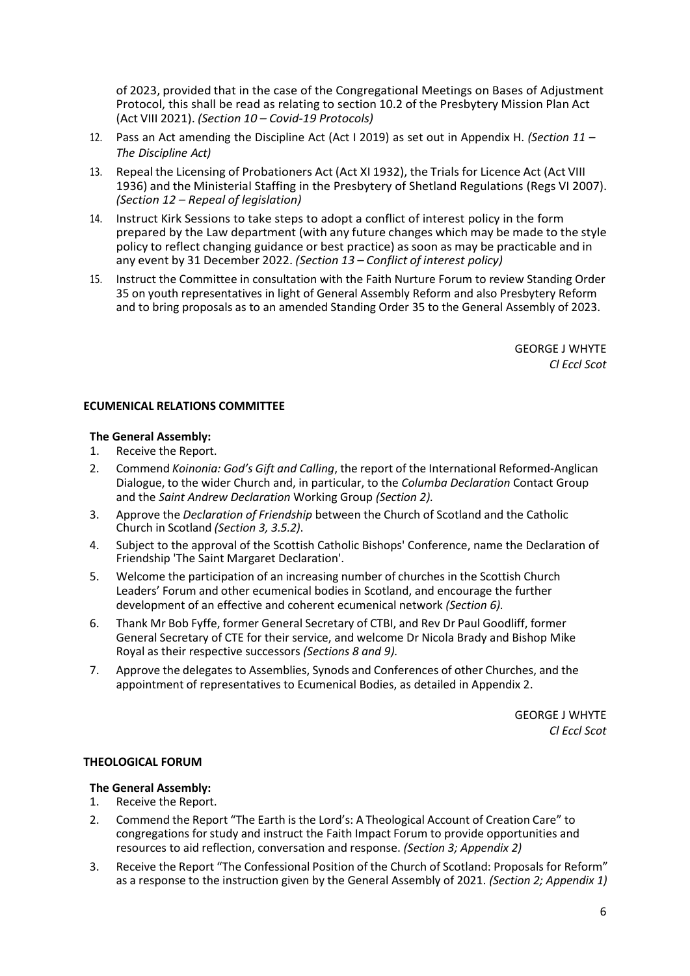of 2023, provided that in the case of the Congregational Meetings on Bases of Adjustment Protocol, this shall be read as relating to section 10.2 of the Presbytery Mission Plan Act (Act VIII 2021). *(Section 10 – Covid-19 Protocols)*

- 12. Pass an Act amending the Discipline Act (Act I 2019) as set out in Appendix H. *(Section 11 – The Discipline Act)*
- 13. Repeal the Licensing of Probationers Act (Act XI 1932), the Trials for Licence Act (Act VIII 1936) and the Ministerial Staffing in the Presbytery of Shetland Regulations (Regs VI 2007). *(Section 12 – Repeal of legislation)*
- 14. Instruct Kirk Sessions to take steps to adopt a conflict of interest policy in the form prepared by the Law department (with any future changes which may be made to the style policy to reflect changing guidance or best practice) as soon as may be practicable and in any event by 31 December 2022. *(Section 13 – Conflict of interest policy)*
- 15. Instruct the Committee in consultation with the Faith Nurture Forum to review Standing Order 35 on youth representatives in light of General Assembly Reform and also Presbytery Reform and to bring proposals as to an amended Standing Order 35 to the General Assembly of 2023.

GEORGE J WHYTE *Cl Eccl Scot*

## **ECUMENICAL RELATIONS COMMITTEE**

# **The General Assembly:**

- 1. Receive the Report.
- 2. Commend *Koinonia: God's Gift and Calling*, the report of the International Reformed-Anglican Dialogue, to the wider Church and, in particular, to the *Columba Declaration* Contact Group and the *Saint Andrew Declaration* Working Group *(Section 2).*
- 3. Approve the *Declaration of Friendship* between the Church of Scotland and the Catholic Church in Scotland *(Section 3, 3.5.2)*.
- 4. Subject to the approval of the Scottish Catholic Bishops' Conference, name the Declaration of Friendship 'The Saint Margaret Declaration'.
- 5. Welcome the participation of an increasing number of churches in the Scottish Church Leaders' Forum and other ecumenical bodies in Scotland, and encourage the further development of an effective and coherent ecumenical network *(Section 6).*
- 6. Thank Mr Bob Fyffe, former General Secretary of CTBI, and Rev Dr Paul Goodliff, former General Secretary of CTE for their service, and welcome Dr Nicola Brady and Bishop Mike Royal as their respective successors *(Sections 8 and 9).*
- 7. Approve the delegates to Assemblies, Synods and Conferences of other Churches, and the appointment of representatives to Ecumenical Bodies, as detailed in Appendix 2.

GEORGE J WHYTE *Cl Eccl Scot*

## **THEOLOGICAL FORUM**

- 1. Receive the Report.
- 2. Commend the Report "The Earth is the Lord's: A Theological Account of Creation Care" to congregations forstudy and instruct the Faith Impact Forum to provide opportunities and resources to aid reflection, conversation and response. *(Section 3; Appendix 2)*
- 3. Receive the Report "The Confessional Position of the Church of Scotland: Proposals for Reform" as a response to the instruction given by the General Assembly of 2021. *(Section 2; Appendix 1)*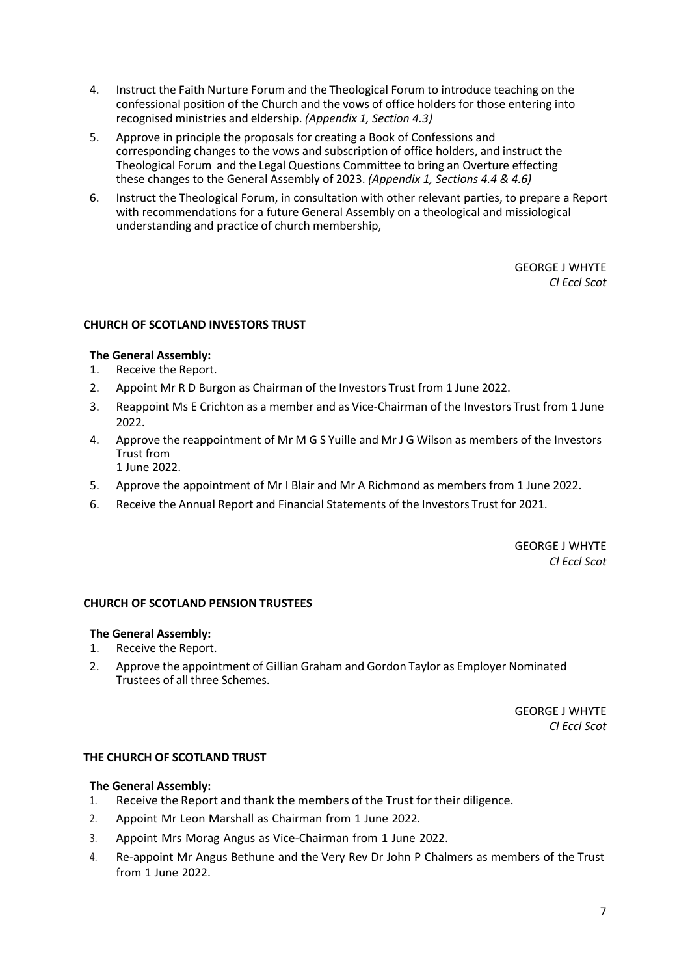- 4. Instruct the Faith Nurture Forum and the Theological Forum to introduce teaching on the confessional position of the Church and the vows of office holders for those entering into recognised ministries and eldership. *(Appendix 1, Section 4.3)*
- 5. Approve in principle the proposals for creating a Book of Confessions and corresponding changes to the vows and subscription of office holders, and instruct the Theological Forum and the Legal Questions Committee to bring an Overture effecting these changes to the General Assembly of 2023. *(Appendix 1, Sections 4.4 & 4.6)*
- 6. Instruct the Theological Forum, in consultation with other relevant parties, to prepare a Report with recommendations for a future General Assembly on a theological and missiological understanding and practice of church membership,

## **CHURCH OF SCOTLAND INVESTORS TRUST**

## **The General Assembly:**

- 1. Receive the Report.
- 2. Appoint Mr R D Burgon as Chairman of the Investors Trust from 1 June 2022.
- 3. Reappoint Ms E Crichton as a member and as Vice-Chairman of the Investors Trust from 1 June 2022.
- 4. Approve the reappointment of Mr M G S Yuille and Mr J G Wilson as members of the Investors Trust from 1 June 2022.
- 5. Approve the appointment of Mr I Blair and Mr A Richmond as members from 1 June 2022.
- 6. Receive the Annual Report and Financial Statements of the Investors Trust for 2021.

GEORGE J WHYTE *Cl Eccl Scot*

#### **CHURCH OF SCOTLAND PENSION TRUSTEES**

## **The General Assembly:**

- 1. Receive the Report.
- 2. Approve the appointment of Gillian Graham and Gordon Taylor as Employer Nominated Trustees of all three Schemes.

GEORGE J WHYTE *Cl Eccl Scot*

## **THE CHURCH OF SCOTLAND TRUST**

- 1. Receive the Report and thank the members of the Trust for their diligence.
- 2. Appoint Mr Leon Marshall as Chairman from 1 June 2022.
- 3. Appoint Mrs Morag Angus as Vice-Chairman from 1 June 2022.
- 4. Re-appoint Mr Angus Bethune and the Very Rev Dr John P Chalmers as members of the Trust from 1 June 2022.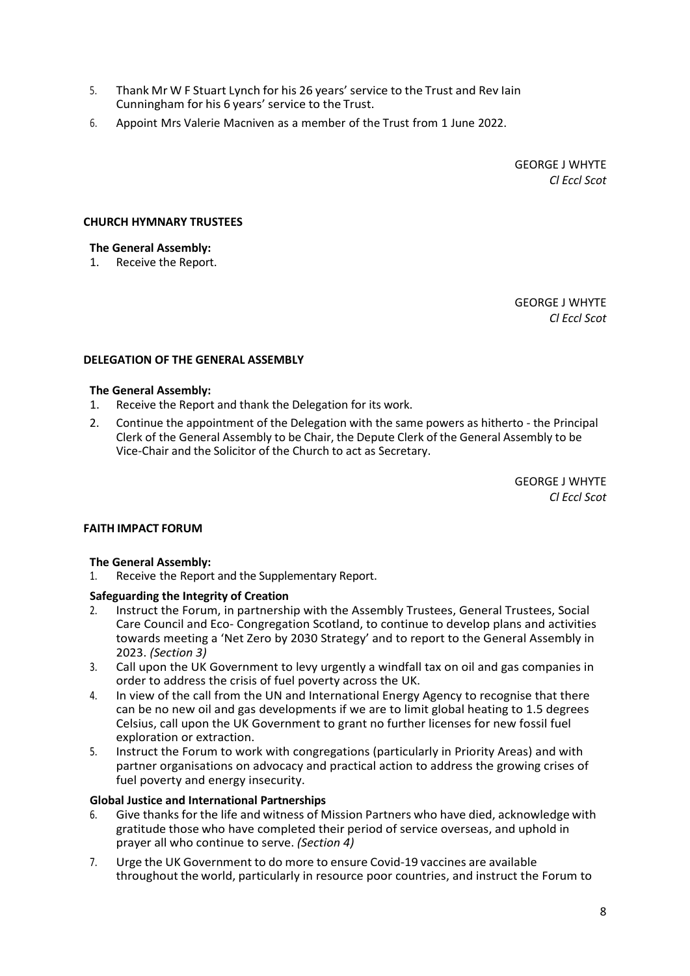- 5. Thank Mr W F Stuart Lynch for his 26 years' service to the Trust and Rev Iain Cunningham for his 6 years' service to the Trust.
- 6. Appoint Mrs Valerie Macniven as a member of the Trust from 1 June 2022.

#### **CHURCH HYMNARY TRUSTEES**

#### **The General Assembly:**

1. Receive the Report.

GEORGE J WHYTE *Cl Eccl Scot*

#### **DELEGATION OF THE GENERAL ASSEMBLY**

#### **The General Assembly:**

- 1. Receive the Report and thank the Delegation for its work.
- 2. Continue the appointment of the Delegation with the same powers as hitherto the Principal Clerk of the General Assembly to be Chair, the Depute Clerk of the General Assembly to be Vice-Chair and the Solicitor of the Church to act as Secretary.

GEORGE J WHYTE *Cl Eccl Scot*

## **FAITH IMPACT FORUM**

## **The General Assembly:**

1. Receive the Report and the Supplementary Report.

## **Safeguarding the Integrity of Creation**

- 2. Instruct the Forum, in partnership with the Assembly Trustees, General Trustees, Social Care Council and Eco- Congregation Scotland, to continue to develop plans and activities towards meeting a 'Net Zero by 2030 Strategy' and to report to the General Assembly in 2023. *(Section 3)*
- 3. Call upon the UK Government to levy urgently a windfall tax on oil and gas companies in order to address the crisis of fuel poverty across the UK.
- 4. In view of the call from the UN and International Energy Agency to recognise that there can be no new oil and gas developments if we are to limit global heating to 1.5 degrees Celsius, call upon the UK Government to grant no further licenses for new fossil fuel exploration or extraction.
- 5. Instruct the Forum to work with congregations (particularly in Priority Areas) and with partner organisations on advocacy and practical action to address the growing crises of fuel poverty and energy insecurity.

## **Global Justice and International Partnerships**

- 6. Give thanks for the life and witness of Mission Partners who have died, acknowledge with gratitude those who have completed their period of service overseas, and uphold in prayer all who continue to serve. *(Section 4)*
- 7. Urge the UK Government to do more to ensure Covid-19 vaccines are available throughout the world, particularly in resource poor countries, and instruct the Forum to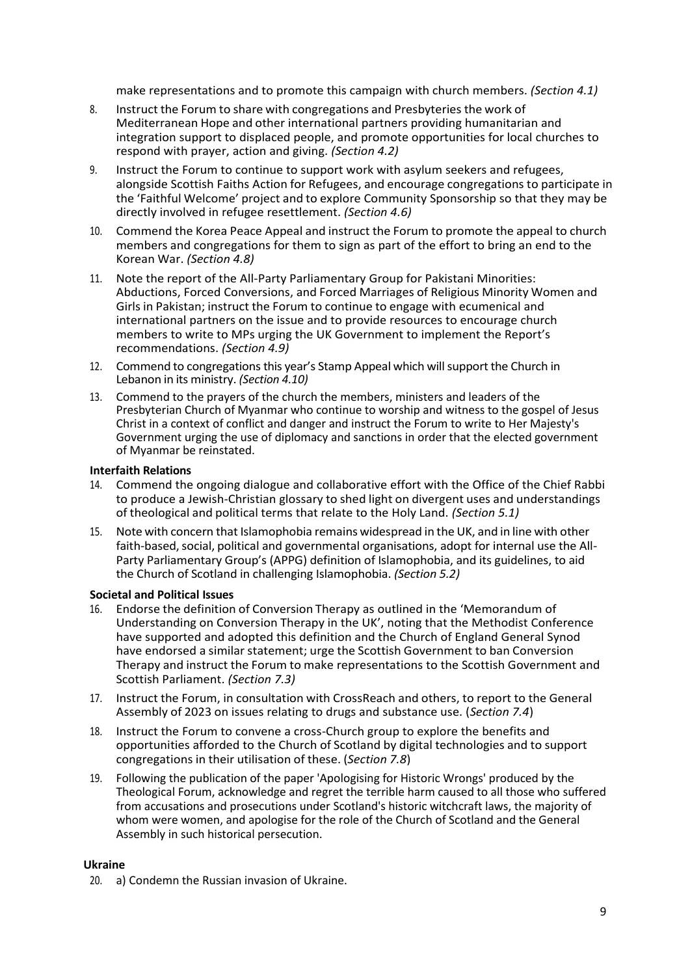make representations and to promote this campaign with church members. *(Section 4.1)*

- 8. Instruct the Forum to share with congregations and Presbyteries the work of Mediterranean Hope and other international partners providing humanitarian and integration support to displaced people, and promote opportunities for local churches to respond with prayer, action and giving. *(Section 4.2)*
- 9. Instruct the Forum to continue to support work with asylum seekers and refugees, alongside Scottish Faiths Action for Refugees, and encourage congregations to participate in the 'Faithful Welcome' project and to explore Community Sponsorship so that they may be directly involved in refugee resettlement. *(Section 4.6)*
- 10. Commend the Korea Peace Appeal and instruct the Forum to promote the appeal to church members and congregations for them to sign as part of the effort to bring an end to the Korean War. *(Section 4.8)*
- 11. Note the report of the All-Party Parliamentary Group for Pakistani Minorities: Abductions, Forced Conversions, and Forced Marriages of Religious Minority Women and Girls in Pakistan; instruct the Forum to continue to engage with ecumenical and international partners on the issue and to provide resources to encourage church members to write to MPs urging the UK Government to implement the Report's recommendations. *(Section 4.9)*
- 12. Commend to congregations this year's Stamp Appeal which will support the Church in Lebanon in its ministry. *(Section 4.10)*
- 13. Commend to the prayers of the church the members, ministers and leaders of the Presbyterian Church of Myanmar who continue to worship and witness to the gospel of Jesus Christ in a context of conflict and danger and instruct the Forum to write to Her Majesty's Government urging the use of diplomacy and sanctions in order that the elected government of Myanmar be reinstated.

#### **Interfaith Relations**

- 14. Commend the ongoing dialogue and collaborative effort with the Office of the Chief Rabbi to produce a Jewish-Christian glossary to shed light on divergent uses and understandings of theological and political terms that relate to the Holy Land. *(Section 5.1)*
- 15. Note with concern that Islamophobia remains widespread in the UK, and in line with other faith-based, social, political and governmental organisations, adopt for internal use the All-Party Parliamentary Group's (APPG) definition of Islamophobia, and its guidelines, to aid the Church of Scotland in challenging Islamophobia. *(Section 5.2)*

## **Societal and Political Issues**

- 16. Endorse the definition of Conversion Therapy as outlined in the 'Memorandum of Understanding on Conversion Therapy in the UK', noting that the Methodist Conference have supported and adopted this definition and the Church of England General Synod have endorsed a similar statement; urge the Scottish Government to ban Conversion Therapy and instruct the Forum to make representations to the Scottish Government and Scottish Parliament. *(Section 7.3)*
- 17. Instruct the Forum, in consultation with CrossReach and others, to report to the General Assembly of 2023 on issues relating to drugs and substance use. (*Section 7.4*)
- 18. Instruct the Forum to convene a cross-Church group to explore the benefits and opportunities afforded to the Church of Scotland by digital technologies and to support congregations in their utilisation of these. (*Section 7.8*)
- 19. Following the publication of the paper 'Apologising for Historic Wrongs' produced by the Theological Forum, acknowledge and regret the terrible harm caused to all those who suffered from accusations and prosecutions under Scotland's historic witchcraft laws, the majority of whom were women, and apologise for the role of the Church of Scotland and the General Assembly in such historical persecution.

## **Ukraine**

20. a) Condemn the Russian invasion of Ukraine.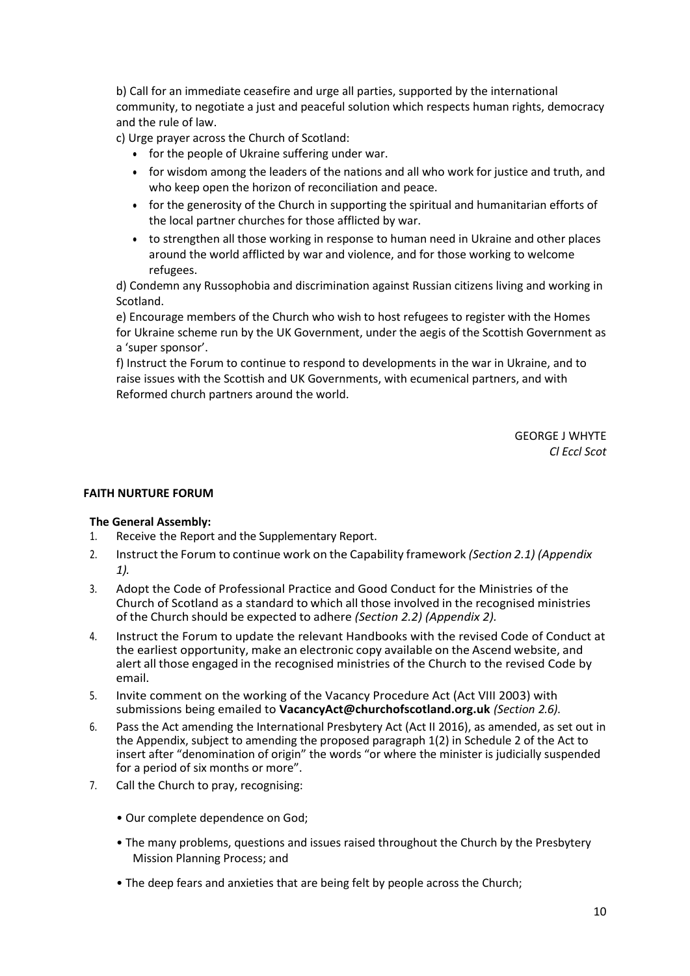b) Call for an immediate ceasefire and urge all parties, supported by the international community, to negotiate a just and peaceful solution which respects human rights, democracy and the rule of law.

c) Urge prayer across the Church of Scotland:

- for the people of Ukraine suffering under war.
- for wisdom among the leaders of the nations and all who work for justice and truth, and who keep open the horizon of reconciliation and peace.
- for the generosity of the Church in supporting the spiritual and humanitarian efforts of the local partner churches for those afflicted by war.
- to strengthen all those working in response to human need in Ukraine and other places around the world afflicted by war and violence, and for those working to welcome refugees.

d) Condemn any Russophobia and discrimination against Russian citizens living and working in Scotland.

e) Encourage members of the Church who wish to host refugees to register with the Homes for Ukraine scheme run by the UK Government, under the aegis of the Scottish Government as a 'super sponsor'.

f) Instruct the Forum to continue to respond to developments in the war in Ukraine, and to raise issues with the Scottish and UK Governments, with ecumenical partners, and with Reformed church partners around the world.

> GEORGE J WHYTE *Cl Eccl Scot*

#### **FAITH NURTURE FORUM**

- 1. Receive the Report and the Supplementary Report.
- 2. Instruct the Forum to continue work on the Capability framework *(Section 2.1) (Appendix 1).*
- 3. Adopt the Code of Professional Practice and Good Conduct for the Ministries of the Church of Scotland as a standard to which all those involved in the recognised ministries of the Church should be expected to adhere *(Section 2.2) (Appendix 2).*
- 4. Instruct the Forum to update the relevant Handbooks with the revised Code of Conduct at the earliest opportunity, make an electronic copy available on the Ascend website, and alert all those engaged in the recognised ministries of the Church to the revised Code by email.
- 5. Invite comment on the working of the Vacancy Procedure Act (Act VIII 2003) with submissions being emailed to **VacancyAct@churchofscotland.org.uk** *(Section 2.6)*.
- 6. Pass the Act amending the International Presbytery Act (Act II 2016), as amended, as set out in the Appendix, subject to amending the proposed paragraph 1(2) in Schedule 2 of the Act to insert after "denomination of origin" the words "or where the minister is judicially suspended for a period of six months or more".
- 7. Call the Church to pray, recognising:
	- Our complete dependence on God;
	- The many problems, questions and issues raised throughout the Church by the Presbytery Mission Planning Process; and
	- The deep fears and anxieties that are being felt by people across the Church;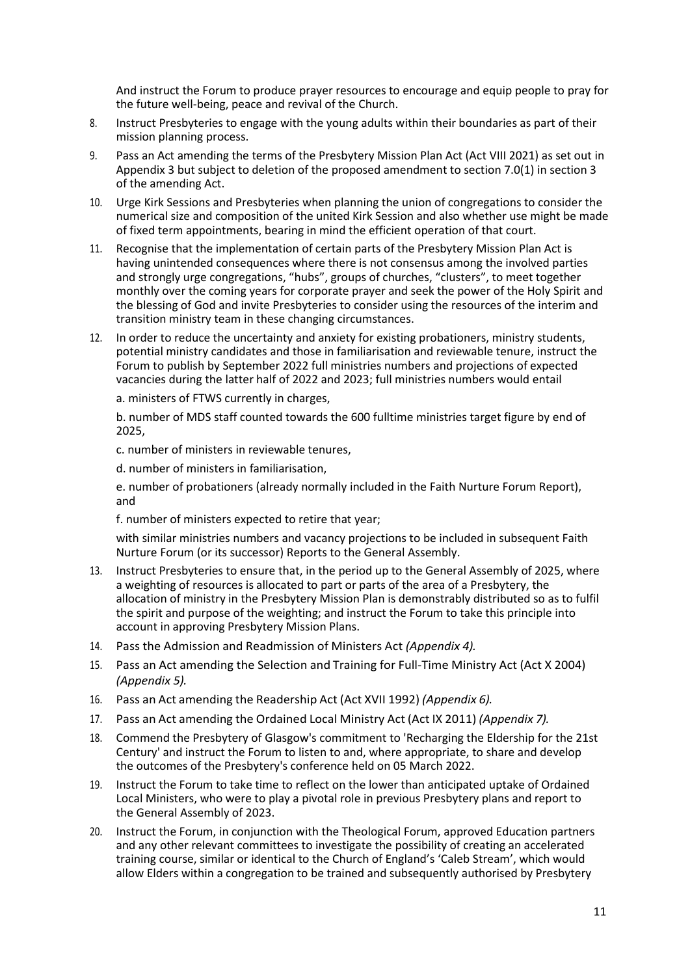And instruct the Forum to produce prayer resources to encourage and equip people to pray for the future well-being, peace and revival of the Church.

- 8. Instruct Presbyteries to engage with the young adults within their boundaries as part of their mission planning process.
- 9. Pass an Act amending the terms of the Presbytery Mission Plan Act (Act VIII 2021) as set out in Appendix 3 but subject to deletion of the proposed amendment to section 7.0(1) in section 3 of the amending Act.
- 10. Urge Kirk Sessions and Presbyteries when planning the union of congregations to consider the numerical size and composition of the united Kirk Session and also whether use might be made of fixed term appointments, bearing in mind the efficient operation of that court.
- 11. Recognise that the implementation of certain parts of the Presbytery Mission Plan Act is having unintended consequences where there is not consensus among the involved parties and strongly urge congregations, "hubs", groups of churches, "clusters", to meet together monthly over the coming years for corporate prayer and seek the power of the Holy Spirit and the blessing of God and invite Presbyteries to consider using the resources of the interim and transition ministry team in these changing circumstances.
- 12. In order to reduce the uncertainty and anxiety for existing probationers, ministry students, potential ministry candidates and those in familiarisation and reviewable tenure, instruct the Forum to publish by September 2022 full ministries numbers and projections of expected vacancies during the latter half of 2022 and 2023; full ministries numbers would entail

a. ministers of FTWS currently in charges,

b. number of MDS staff counted towards the 600 fulltime ministries target figure by end of 2025,

c. number of ministers in reviewable tenures,

d. number of ministers in familiarisation,

e. number of probationers (already normally included in the Faith Nurture Forum Report), and

f. number of ministers expected to retire that year;

with similar ministries numbers and vacancy projections to be included in subsequent Faith Nurture Forum (or its successor) Reports to the General Assembly.

- 13. Instruct Presbyteries to ensure that, in the period up to the General Assembly of 2025, where a weighting of resources is allocated to part or parts of the area of a Presbytery, the allocation of ministry in the Presbytery Mission Plan is demonstrably distributed so as to fulfil the spirit and purpose of the weighting; and instruct the Forum to take this principle into account in approving Presbytery Mission Plans.
- 14. Pass the Admission and Readmission of Ministers Act *(Appendix 4).*
- 15. Pass an Act amending the Selection and Training for Full-Time Ministry Act (Act X 2004) *(Appendix 5).*
- 16. Pass an Act amending the Readership Act (Act XVII 1992) *(Appendix 6).*
- 17. Pass an Act amending the Ordained Local Ministry Act (Act IX 2011) *(Appendix 7).*
- 18. Commend the Presbytery of Glasgow's commitment to 'Recharging the Eldership for the 21st Century' and instruct the Forum to listen to and, where appropriate, to share and develop the outcomes of the Presbytery's conference held on 05 March 2022.
- 19. Instruct the Forum to take time to reflect on the lower than anticipated uptake of Ordained Local Ministers, who were to play a pivotal role in previous Presbytery plans and report to the General Assembly of 2023.
- 20. Instruct the Forum, in conjunction with the Theological Forum, approved Education partners and any other relevant committees to investigate the possibility of creating an accelerated training course, similar or identical to the Church of England's 'Caleb Stream', which would allow Elders within a congregation to be trained and subsequently authorised by Presbytery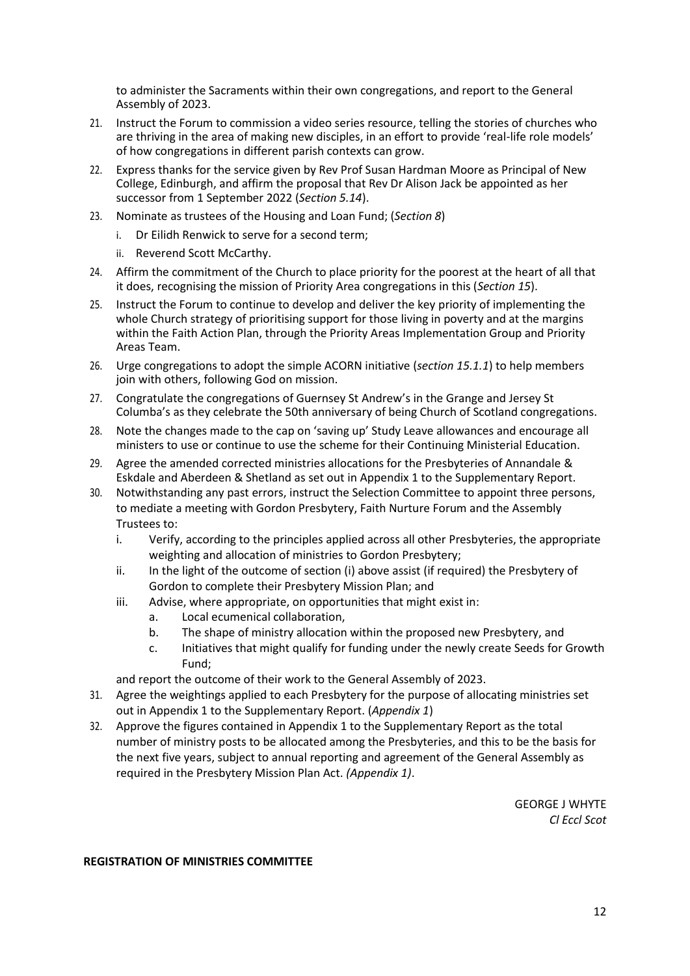to administer the Sacraments within their own congregations, and report to the General Assembly of 2023.

- 21. Instruct the Forum to commission a video series resource, telling the stories of churches who are thriving in the area of making new disciples, in an effort to provide 'real-life role models' of how congregations in different parish contexts can grow.
- 22. Express thanks for the service given by Rev Prof Susan Hardman Moore as Principal of New College, Edinburgh, and affirm the proposal that Rev Dr Alison Jack be appointed as her successor from 1 September 2022 (*Section 5.14*).
- 23. Nominate as trustees of the Housing and Loan Fund; (*Section 8*)
	- i. Dr Eilidh Renwick to serve for a second term;
	- ii. Reverend Scott McCarthy.
- 24. Affirm the commitment of the Church to place priority for the poorest at the heart of all that it does, recognising the mission of Priority Area congregations in this (*Section 15*).
- 25. Instruct the Forum to continue to develop and deliver the key priority of implementing the whole Church strategy of prioritising support for those living in poverty and at the margins within the Faith Action Plan, through the Priority Areas Implementation Group and Priority Areas Team.
- 26. Urge congregations to adopt the simple ACORN initiative (*section 15.1.1*) to help members join with others, following God on mission.
- 27. Congratulate the congregations of Guernsey St Andrew's in the Grange and Jersey St Columba's as they celebrate the 50th anniversary of being Church of Scotland congregations.
- 28. Note the changes made to the cap on 'saving up' Study Leave allowances and encourage all ministers to use or continue to use the scheme for their Continuing Ministerial Education.
- 29. Agree the amended corrected ministries allocations for the Presbyteries of Annandale & Eskdale and Aberdeen & Shetland as set out in Appendix 1 to the Supplementary Report.
- 30. Notwithstanding any past errors, instruct the Selection Committee to appoint three persons, to mediate a meeting with Gordon Presbytery, Faith Nurture Forum and the Assembly Trustees to:
	- i. Verify, according to the principles applied across all other Presbyteries, the appropriate weighting and allocation of ministries to Gordon Presbytery;
	- ii. In the light of the outcome of section (i) above assist (if required) the Presbytery of Gordon to complete their Presbytery Mission Plan; and
	- iii. Advise, where appropriate, on opportunities that might exist in:
		- a. Local ecumenical collaboration,
		- b. The shape of ministry allocation within the proposed new Presbytery, and
		- c. Initiatives that might qualify for funding under the newly create Seeds for Growth Fund;

and report the outcome of their work to the General Assembly of 2023.

- 31. Agree the weightings applied to each Presbytery for the purpose of allocating ministries set out in Appendix 1 to the Supplementary Report. (*Appendix 1*)
- 32. Approve the figures contained in Appendix 1 to the Supplementary Report as the total number of ministry posts to be allocated among the Presbyteries, and this to be the basis for the next five years, subject to annual reporting and agreement of the General Assembly as required in the Presbytery Mission Plan Act. *(Appendix 1)*.

GEORGE J WHYTE *Cl Eccl Scot*

#### **REGISTRATION OF MINISTRIES COMMITTEE**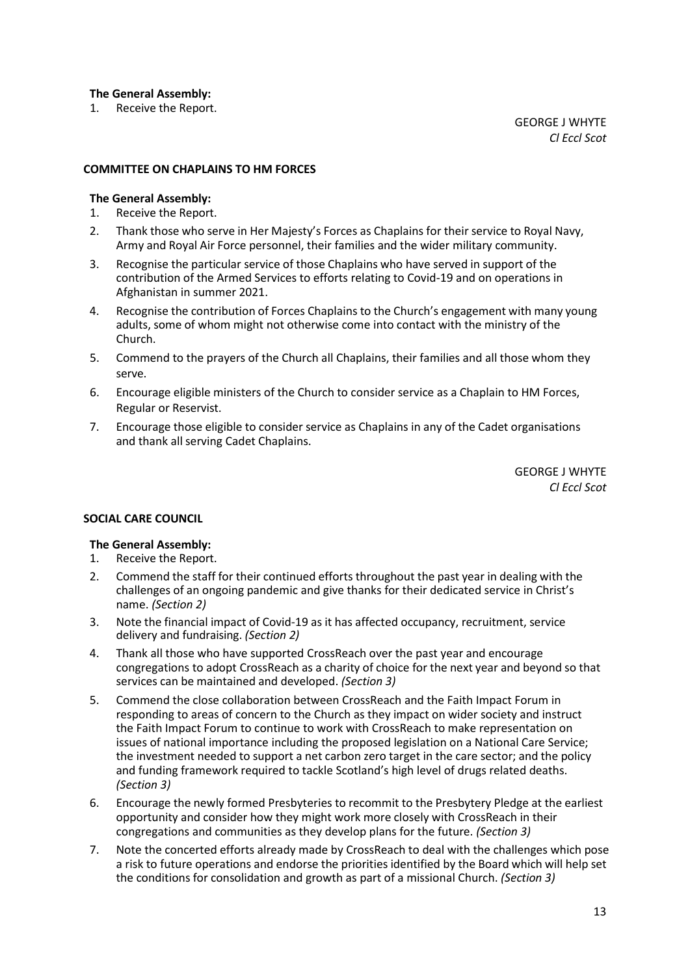## **The General Assembly:**

1. Receive the Report.

#### **COMMITTEE ON CHAPLAINS TO HM FORCES**

# **The General Assembly:**

- 1. Receive the Report.
- 2. Thank those who serve in Her Majesty's Forces as Chaplains for their service to Royal Navy, Army and Royal Air Force personnel, their families and the wider military community.
- 3. Recognise the particular service of those Chaplains who have served in support of the contribution of the Armed Services to efforts relating to Covid-19 and on operations in Afghanistan in summer 2021.
- 4. Recognise the contribution of Forces Chaplains to the Church's engagement with many young adults, some of whom might not otherwise come into contact with the ministry of the Church.
- 5. Commend to the prayers of the Church all Chaplains, their families and all those whom they serve.
- 6. Encourage eligible ministers of the Church to consider service as a Chaplain to HM Forces, Regular or Reservist.
- 7. Encourage those eligible to consider service as Chaplains in any of the Cadet organisations and thank all serving Cadet Chaplains.

GEORGE J WHYTE *Cl Eccl Scot*

## **SOCIAL CARE COUNCIL**

- 1. Receive the Report.
- 2. Commend the staff for their continued efforts throughout the past year in dealing with the challenges of an ongoing pandemic and give thanks for their dedicated service in Christ's name. *(Section 2)*
- 3. Note the financial impact of Covid-19 as it has affected occupancy, recruitment, service delivery and fundraising. *(Section 2)*
- 4. Thank all those who have supported CrossReach over the past year and encourage congregations to adopt CrossReach as a charity of choice for the next year and beyond so that services can be maintained and developed. *(Section 3)*
- 5. Commend the close collaboration between CrossReach and the Faith Impact Forum in responding to areas of concern to the Church as they impact on wider society and instruct the Faith Impact Forum to continue to work with CrossReach to make representation on issues of national importance including the proposed legislation on a National Care Service; the investment needed to support a net carbon zero target in the care sector; and the policy and funding framework required to tackle Scotland's high level of drugs related deaths. *(Section 3)*
- 6. Encourage the newly formed Presbyteries to recommit to the Presbytery Pledge at the earliest opportunity and consider how they might work more closely with CrossReach in their congregations and communities as they develop plans for the future. *(Section 3)*
- 7. Note the concerted efforts already made by CrossReach to deal with the challenges which pose a risk to future operations and endorse the priorities identified by the Board which will help set the conditions for consolidation and growth as part of a missional Church. *(Section 3)*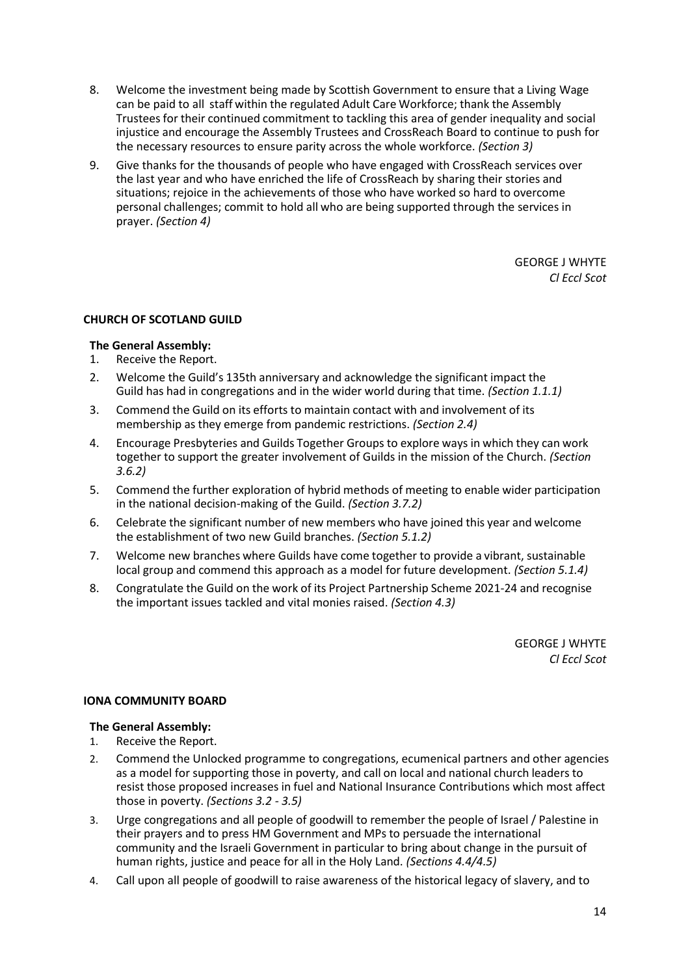- 8. Welcome the investment being made by Scottish Government to ensure that a Living Wage can be paid to all staff within the regulated Adult Care Workforce; thank the Assembly Trustees for their continued commitment to tackling this area of gender inequality and social injustice and encourage the Assembly Trustees and CrossReach Board to continue to push for the necessary resources to ensure parity across the whole workforce. *(Section 3)*
- 9. Give thanks for the thousands of people who have engaged with CrossReach services over the last year and who have enriched the life of CrossReach by sharing their stories and situations; rejoice in the achievements of those who have worked so hard to overcome personal challenges; commit to hold all who are being supported through the services in prayer. *(Section 4)*

# **CHURCH OF SCOTLAND GUILD**

# **The General Assembly:**

- 1. Receive the Report.
- 2. Welcome the Guild's 135th anniversary and acknowledge the significant impact the Guild has had in congregations and in the wider world during that time. *(Section 1.1.1)*
- 3. Commend the Guild on its efforts to maintain contact with and involvement of its membership as they emerge from pandemic restrictions. *(Section 2.4)*
- 4. Encourage Presbyteries and Guilds Together Groups to explore ways in which they can work together to support the greater involvement of Guilds in the mission of the Church. *(Section 3.6.2)*
- 5. Commend the further exploration of hybrid methods of meeting to enable wider participation in the national decision-making of the Guild. *(Section 3.7.2)*
- 6. Celebrate the significant number of new members who have joined this year and welcome the establishment of two new Guild branches. *(Section 5.1.2)*
- 7. Welcome new branches where Guilds have come together to provide a vibrant, sustainable local group and commend this approach as a model for future development. *(Section 5.1.4)*
- 8. Congratulate the Guild on the work of its Project Partnership Scheme 2021-24 and recognise the important issues tackled and vital monies raised. *(Section 4.3)*

GEORGE J WHYTE *Cl Eccl Scot*

## **IONA COMMUNITY BOARD**

- 1. Receive the Report.
- 2. Commend the Unlocked programme to congregations, ecumenical partners and other agencies as a model for supporting those in poverty, and call on local and national church leaders to resist those proposed increases in fuel and National Insurance Contributions which most affect those in poverty. *(Sections 3.2 - 3.5)*
- 3. Urge congregations and all people of goodwill to remember the people of Israel / Palestine in their prayers and to press HM Government and MPs to persuade the international community and the Israeli Government in particular to bring about change in the pursuit of human rights, justice and peace for all in the Holy Land. *(Sections 4.4/4.5)*
- 4. Call upon all people of goodwill to raise awareness of the historical legacy of slavery, and to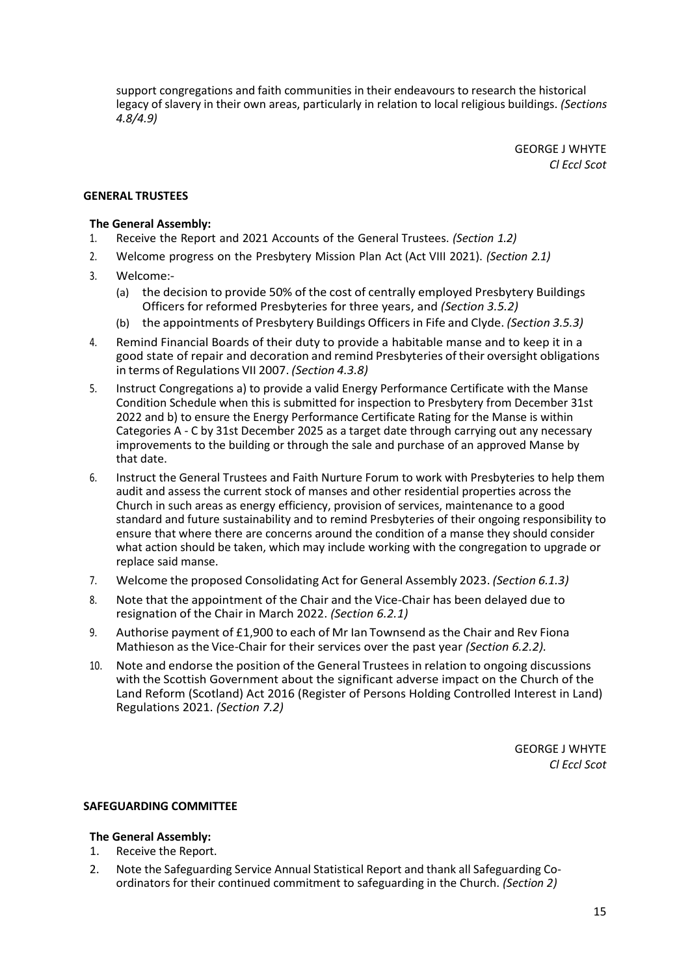support congregations and faith communities in their endeavours to research the historical legacy of slavery in their own areas, particularly in relation to local religious buildings. *(Sections 4.8/4.9)*

> GEORGE J WHYTE *Cl Eccl Scot*

## **GENERAL TRUSTEES**

#### **The General Assembly:**

- 1. Receive the Report and 2021 Accounts of the General Trustees. *(Section 1.2)*
- 2. Welcome progress on the Presbytery Mission Plan Act (Act VIII 2021). *(Section 2.1)*
- 3. Welcome:-
	- (a) the decision to provide 50% of the cost of centrally employed Presbytery Buildings Officers for reformed Presbyteries for three years, and *(Section 3.5.2)*
	- (b) the appointments of Presbytery Buildings Officers in Fife and Clyde. *(Section 3.5.3)*
- 4. Remind Financial Boards of their duty to provide a habitable manse and to keep it in a good state of repair and decoration and remind Presbyteries of their oversight obligations in terms of Regulations VII 2007. *(Section 4.3.8)*
- 5. Instruct Congregations a) to provide a valid Energy Performance Certificate with the Manse Condition Schedule when this is submitted for inspection to Presbytery from December 31st 2022 and b) to ensure the Energy Performance Certificate Rating for the Manse is within Categories A - C by 31st December 2025 as a target date through carrying out any necessary improvements to the building or through the sale and purchase of an approved Manse by that date.
- 6. Instruct the General Trustees and Faith Nurture Forum to work with Presbyteries to help them audit and assess the current stock of manses and other residential properties across the Church in such areas as energy efficiency, provision of services, maintenance to a good standard and future sustainability and to remind Presbyteries of their ongoing responsibility to ensure that where there are concerns around the condition of a manse they should consider what action should be taken, which may include working with the congregation to upgrade or replace said manse.
- 7. Welcome the proposed Consolidating Act for General Assembly 2023. *(Section 6.1.3)*
- 8. Note that the appointment of the Chair and the Vice-Chair has been delayed due to resignation of the Chair in March 2022. *(Section 6.2.1)*
- 9. Authorise payment of £1,900 to each of Mr Ian Townsend as the Chair and Rev Fiona Mathieson as the Vice-Chair for their services over the past year *(Section 6.2.2).*
- 10. Note and endorse the position of the General Trustees in relation to ongoing discussions with the Scottish Government about the significant adverse impact on the Church of the Land Reform (Scotland) Act 2016 (Register of Persons Holding Controlled Interest in Land) Regulations 2021. *(Section 7.2)*

GEORGE J WHYTE *Cl Eccl Scot*

#### **SAFEGUARDING COMMITTEE**

- 1. Receive the Report.
- 2. Note the Safeguarding Service Annual Statistical Report and thank all Safeguarding Coordinators for their continued commitment to safeguarding in the Church. *(Section 2)*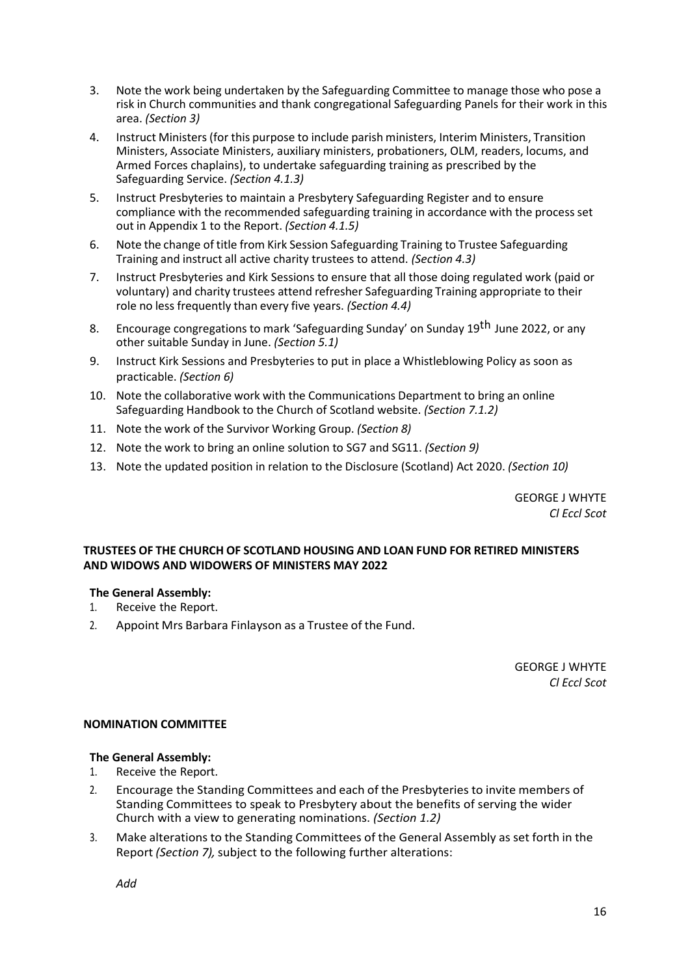- 3. Note the work being undertaken by the Safeguarding Committee to manage those who pose a risk in Church communities and thank congregational Safeguarding Panels for their work in this area. *(Section 3)*
- 4. Instruct Ministers (for this purpose to include parish ministers, Interim Ministers, Transition Ministers, Associate Ministers, auxiliary ministers, probationers, OLM, readers, locums, and Armed Forces chaplains), to undertake safeguarding training as prescribed by the Safeguarding Service. *(Section 4.1.3)*
- 5. Instruct Presbyteries to maintain a Presbytery Safeguarding Register and to ensure compliance with the recommended safeguarding training in accordance with the process set out in Appendix 1 to the Report. *(Section 4.1.5)*
- 6. Note the change of title from Kirk Session Safeguarding Training to Trustee Safeguarding Training and instruct all active charity trustees to attend. *(Section 4.3)*
- 7. Instruct Presbyteries and Kirk Sessions to ensure that all those doing regulated work (paid or voluntary) and charity trustees attend refresher Safeguarding Training appropriate to their role no less frequently than every five years. *(Section 4.4)*
- 8. Encourage congregations to mark 'Safeguarding Sunday' on Sunday 19<sup>th</sup> June 2022, or any other suitable Sunday in June. *(Section 5.1)*
- 9. Instruct Kirk Sessions and Presbyteries to put in place a Whistleblowing Policy as soon as practicable. *(Section 6)*
- 10. Note the collaborative work with the Communications Department to bring an online Safeguarding Handbook to the Church of Scotland website. *(Section 7.1.2)*
- 11. Note the work of the Survivor Working Group. *(Section 8)*
- 12. Note the work to bring an online solution to SG7 and SG11. *(Section 9)*
- 13. Note the updated position in relation to the Disclosure (Scotland) Act 2020. *(Section 10)*

## **TRUSTEES OF THE CHURCH OF SCOTLAND HOUSING AND LOAN FUND FOR RETIRED MINISTERS AND WIDOWS AND WIDOWERS OF MINISTERS MAY 2022**

## **The General Assembly:**

- 1. Receive the Report.
- 2. Appoint Mrs Barbara Finlayson as a Trustee of the Fund.

GEORGE J WHYTE *Cl Eccl Scot*

## **NOMINATION COMMITTEE**

## **The General Assembly:**

- 1. Receive the Report.
- 2. Encourage the Standing Committees and each of the Presbyteries to invite members of Standing Committees to speak to Presbytery about the benefits of serving the wider Church with a view to generating nominations. *(Section 1.2)*
- 3. Make alterations to the Standing Committees of the General Assembly as set forth in the Report *(Section 7),* subject to the following further alterations:

*Add*